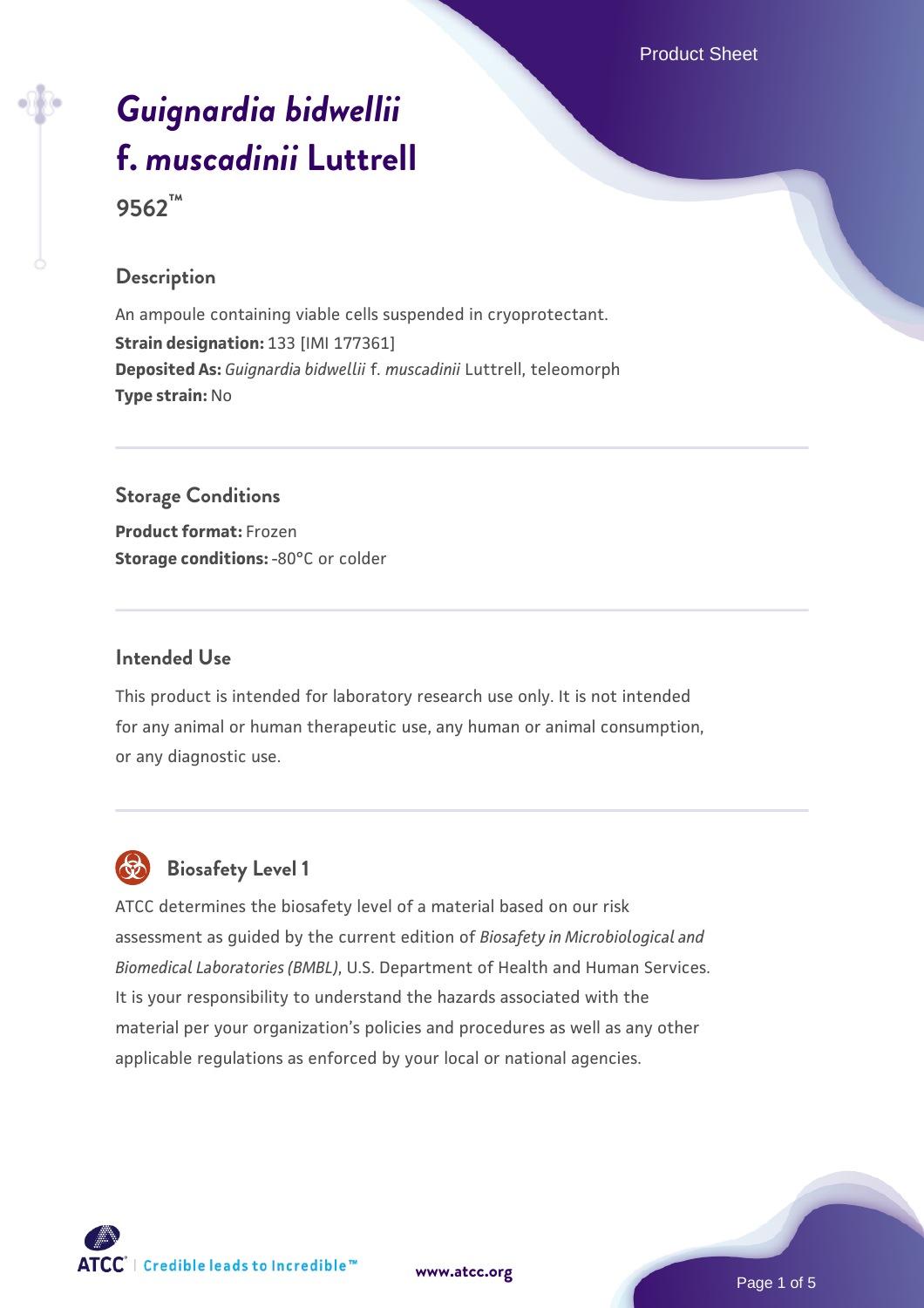# *[Guignardia bidwellii](https://www.atcc.org/products/9562)* **[f.](https://www.atcc.org/products/9562)** *[muscadinii](https://www.atcc.org/products/9562)* **[Luttrell](https://www.atcc.org/products/9562)**

**9562™**

## **Description**

An ampoule containing viable cells suspended in cryoprotectant. **Strain designation:** 133 [IMI 177361] **Deposited As:** *Guignardia bidwellii* f. *muscadinii* Luttrell, teleomorph **Type strain:** No

# **Storage Conditions**

**Product format:** Frozen **Storage conditions: -80°C or colder** 

## **Intended Use**

This product is intended for laboratory research use only. It is not intended for any animal or human therapeutic use, any human or animal consumption, or any diagnostic use.



# **Biosafety Level 1**

ATCC determines the biosafety level of a material based on our risk assessment as guided by the current edition of *Biosafety in Microbiological and Biomedical Laboratories (BMBL)*, U.S. Department of Health and Human Services. It is your responsibility to understand the hazards associated with the material per your organization's policies and procedures as well as any other applicable regulations as enforced by your local or national agencies.



**[www.atcc.org](http://www.atcc.org)**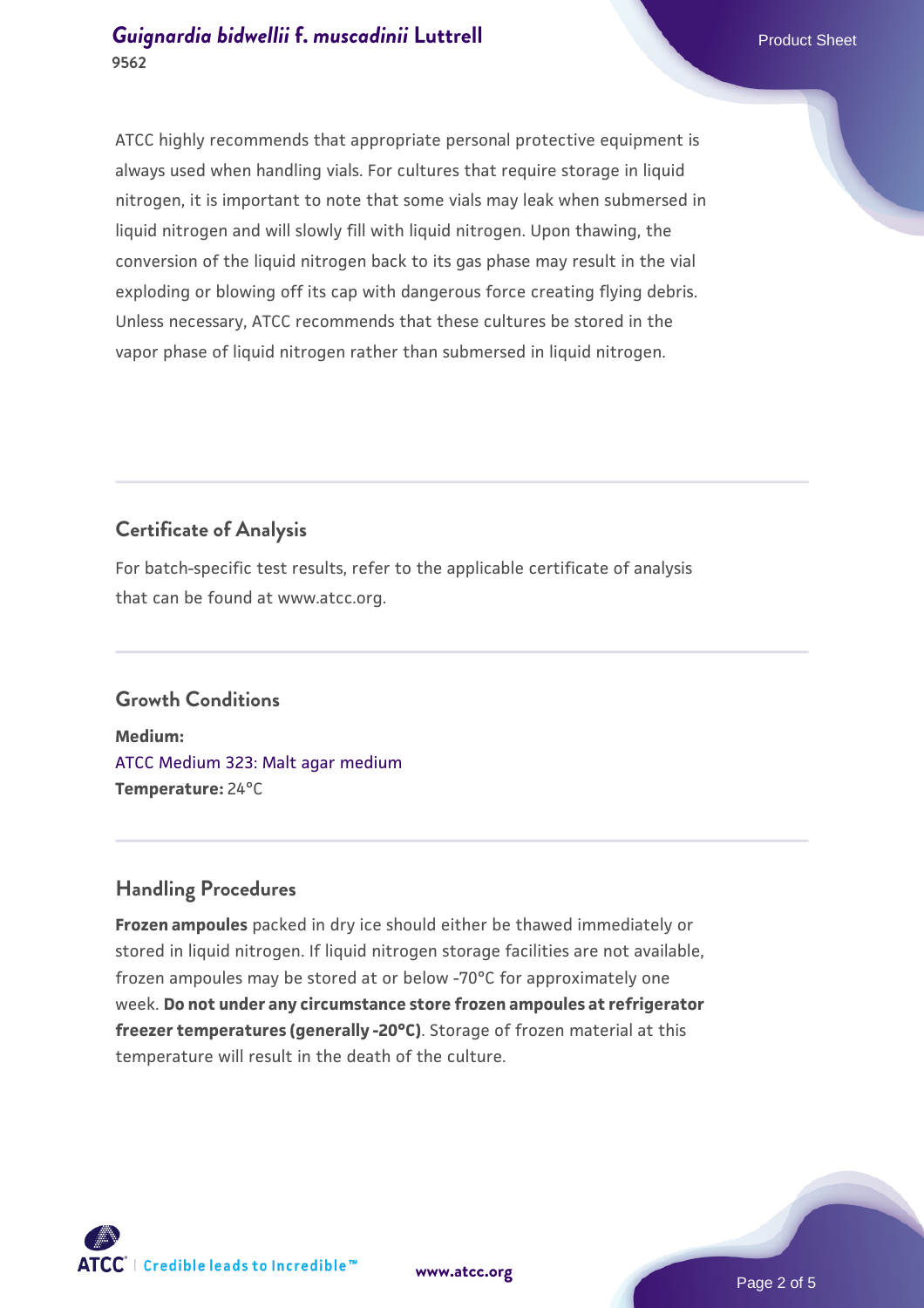ATCC highly recommends that appropriate personal protective equipment is always used when handling vials. For cultures that require storage in liquid nitrogen, it is important to note that some vials may leak when submersed in liquid nitrogen and will slowly fill with liquid nitrogen. Upon thawing, the conversion of the liquid nitrogen back to its gas phase may result in the vial exploding or blowing off its cap with dangerous force creating flying debris. Unless necessary, ATCC recommends that these cultures be stored in the vapor phase of liquid nitrogen rather than submersed in liquid nitrogen.

# **Certificate of Analysis**

For batch-specific test results, refer to the applicable certificate of analysis that can be found at www.atcc.org.

# **Growth Conditions**

**Medium:**  [ATCC Medium 323: Malt agar medium](https://www.atcc.org/-/media/product-assets/documents/microbial-media-formulations/3/2/3/atcc-medium-323.pdf?rev=58d6457ee20149d7a1c844947569ef92) **Temperature:** 24°C

# **Handling Procedures**

**Frozen ampoules** packed in dry ice should either be thawed immediately or stored in liquid nitrogen. If liquid nitrogen storage facilities are not available, frozen ampoules may be stored at or below -70°C for approximately one week. **Do not under any circumstance store frozen ampoules at refrigerator freezer temperatures (generally -20°C)**. Storage of frozen material at this temperature will result in the death of the culture.

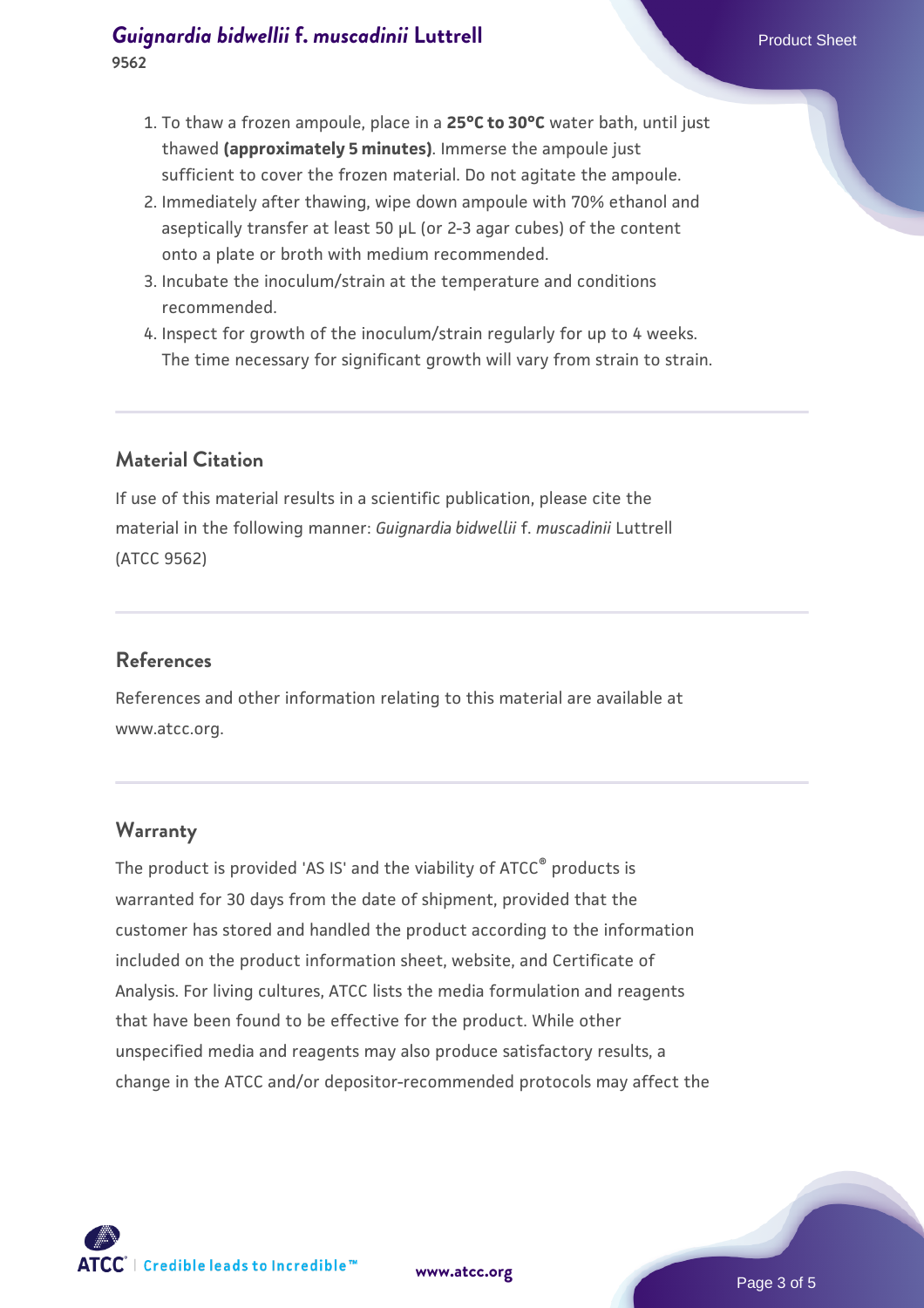- 1. To thaw a frozen ampoule, place in a **25°C to 30°C** water bath, until just thawed **(approximately 5 minutes)**. Immerse the ampoule just sufficient to cover the frozen material. Do not agitate the ampoule.
- 2. Immediately after thawing, wipe down ampoule with 70% ethanol and aseptically transfer at least 50 µL (or 2-3 agar cubes) of the content onto a plate or broth with medium recommended.
- 3. Incubate the inoculum/strain at the temperature and conditions recommended.
- 4. Inspect for growth of the inoculum/strain regularly for up to 4 weeks. The time necessary for significant growth will vary from strain to strain.

## **Material Citation**

If use of this material results in a scientific publication, please cite the material in the following manner: *Guignardia bidwellii* f. *muscadinii* Luttrell (ATCC 9562)

#### **References**

References and other information relating to this material are available at www.atcc.org.

#### **Warranty**

The product is provided 'AS IS' and the viability of ATCC<sup>®</sup> products is warranted for 30 days from the date of shipment, provided that the customer has stored and handled the product according to the information included on the product information sheet, website, and Certificate of Analysis. For living cultures, ATCC lists the media formulation and reagents that have been found to be effective for the product. While other unspecified media and reagents may also produce satisfactory results, a change in the ATCC and/or depositor-recommended protocols may affect the



Page 3 of 5

**[www.atcc.org](http://www.atcc.org)**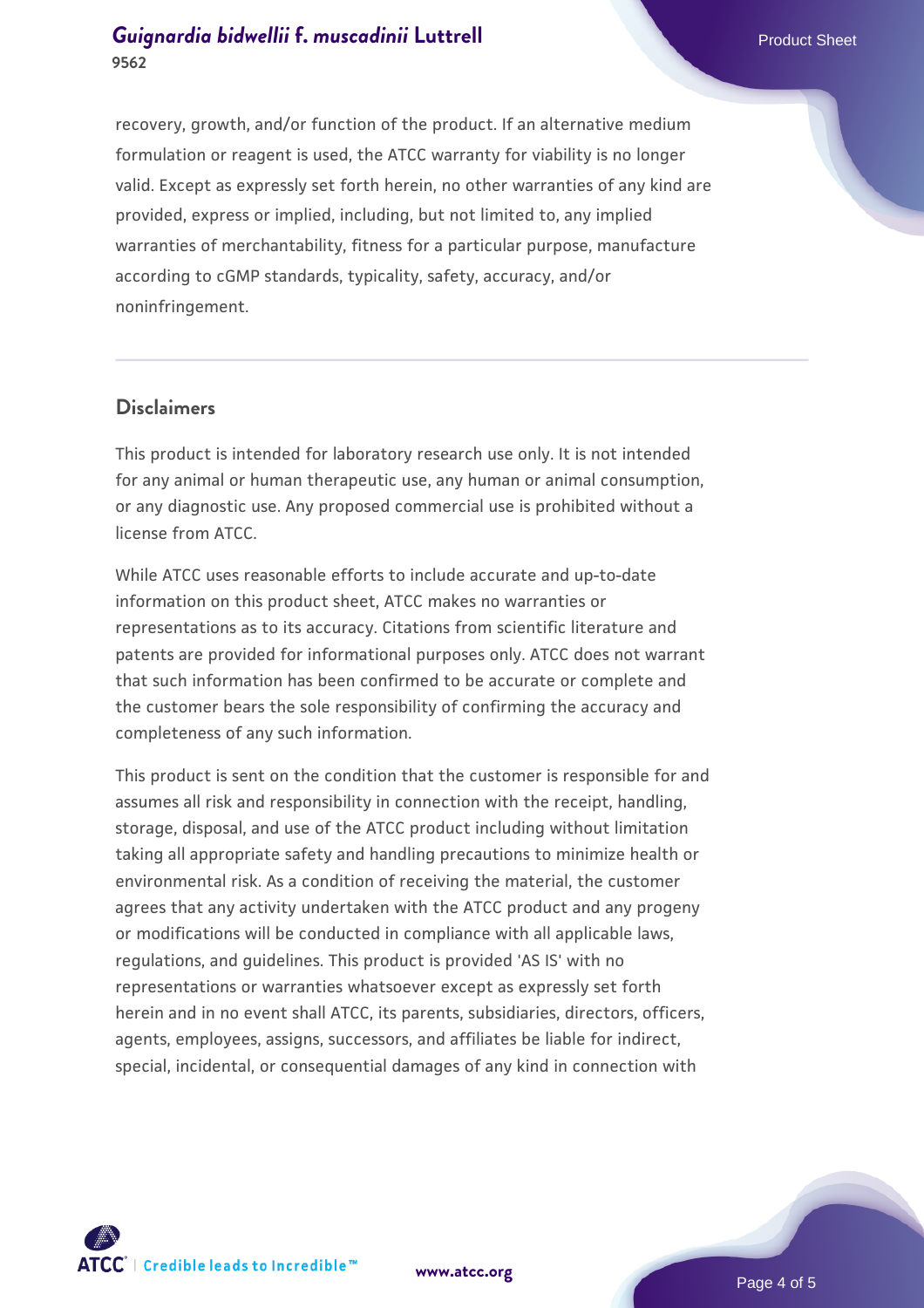recovery, growth, and/or function of the product. If an alternative medium formulation or reagent is used, the ATCC warranty for viability is no longer valid. Except as expressly set forth herein, no other warranties of any kind are provided, express or implied, including, but not limited to, any implied warranties of merchantability, fitness for a particular purpose, manufacture according to cGMP standards, typicality, safety, accuracy, and/or noninfringement.

#### **Disclaimers**

This product is intended for laboratory research use only. It is not intended for any animal or human therapeutic use, any human or animal consumption, or any diagnostic use. Any proposed commercial use is prohibited without a license from ATCC.

While ATCC uses reasonable efforts to include accurate and up-to-date information on this product sheet, ATCC makes no warranties or representations as to its accuracy. Citations from scientific literature and patents are provided for informational purposes only. ATCC does not warrant that such information has been confirmed to be accurate or complete and the customer bears the sole responsibility of confirming the accuracy and completeness of any such information.

This product is sent on the condition that the customer is responsible for and assumes all risk and responsibility in connection with the receipt, handling, storage, disposal, and use of the ATCC product including without limitation taking all appropriate safety and handling precautions to minimize health or environmental risk. As a condition of receiving the material, the customer agrees that any activity undertaken with the ATCC product and any progeny or modifications will be conducted in compliance with all applicable laws, regulations, and guidelines. This product is provided 'AS IS' with no representations or warranties whatsoever except as expressly set forth herein and in no event shall ATCC, its parents, subsidiaries, directors, officers, agents, employees, assigns, successors, and affiliates be liable for indirect, special, incidental, or consequential damages of any kind in connection with



**[www.atcc.org](http://www.atcc.org)**

Page 4 of 5